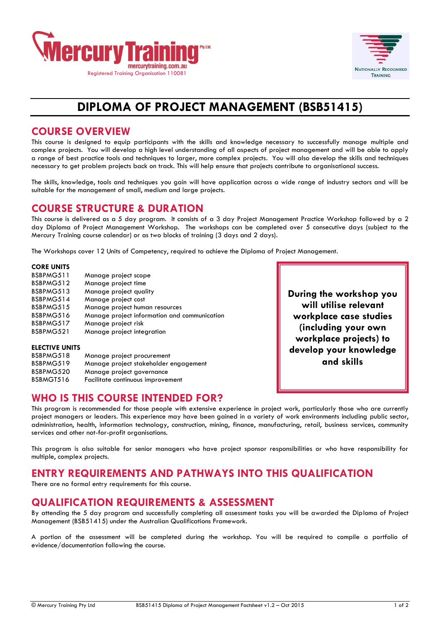



**During the workshop you will utilise relevant workplace case studies (including your own workplace projects) to develop your knowledge and skills**

# **DIPLOMA OF PROJECT MANAGEMENT (BSB51415)**

#### **COURSE OVERVIEW**

This course is designed to equip participants with the skills and knowledge necessary to successfully manage multiple and complex projects. You will develop a high level understanding of all aspects of project management and will be able to apply a range of best practice tools and techniques to larger, more complex projects. You will also develop the skills and techniques necessary to get problem projects back on track. This will help ensure that projects contribute to organisational success.

The skills, knowledge, tools and techniques you gain will have application across a wide range of industry sectors and will be suitable for the management of small, medium and large projects.

#### **COURSE STRUCTURE & DURATION**

This course is delivered as a 5 day program. It consists of a 3 day Project Management Practice Workshop followed by a 2 day Diploma of Project Management Workshop. The workshops can be completed over 5 consecutive days (subject to the Mercury Training course calendar) or as two blocks of training (3 days and 2 days).

The Workshops cover 12 Units of Competency, required to achieve the Diploma of Project Management.

#### **CORE UNITS**

| BSBPMG511<br>BSBPMG512 | Manage project scope                          |
|------------------------|-----------------------------------------------|
| BSBPMG513              | Manage project time<br>Manage project quality |
| BSBPMG514              | Manage project cost                           |
| BSBPMG515              | Manage project human resources                |
| BSBPMG516              | Manage project information and communication  |
| BSBPMG517              | Manage project risk                           |
| BSBPMG521              | Manage project integration                    |
|                        |                                               |
| <b>ELECTIVE UNITS</b>  |                                               |

| BSBPMG518 | Manage project procurement            |
|-----------|---------------------------------------|
| BSBPMG519 | Manage project stakeholder engagement |
| BSBPMG520 | Manage project governance             |
| BSBMGT516 | Facilitate continuous improvement     |
|           |                                       |

**WHO IS THIS COURSE INTENDED FOR?**

This program is recommended for those people with extensive experience in project work, particularly those who are currently project managers or leaders. This experience may have been gained in a variety of work environments including public sector, administration, health, information technology, construction, mining, finance, manufacturing, retail, business services, community services and other not-for-profit organisations.

This program is also suitable for senior managers who have project sponsor responsibilities or who have responsibility for multiple, complex projects.

# **ENTRY REQUIREMENTS AND PATHWAYS INTO THIS QUALIFICATION**

There are no formal entry requirements for this course.

# **QUALIFICATION REQUIREMENTS & ASSESSMENT**

By attending the 5 day program and successfully completing all assessment tasks you will be awarded the Diploma of Project Management (BSB51415) under the Australian Qualifications Framework.

A portion of the assessment will be completed during the workshop. You will be required to compile a portfolio of evidence/documentation following the course.